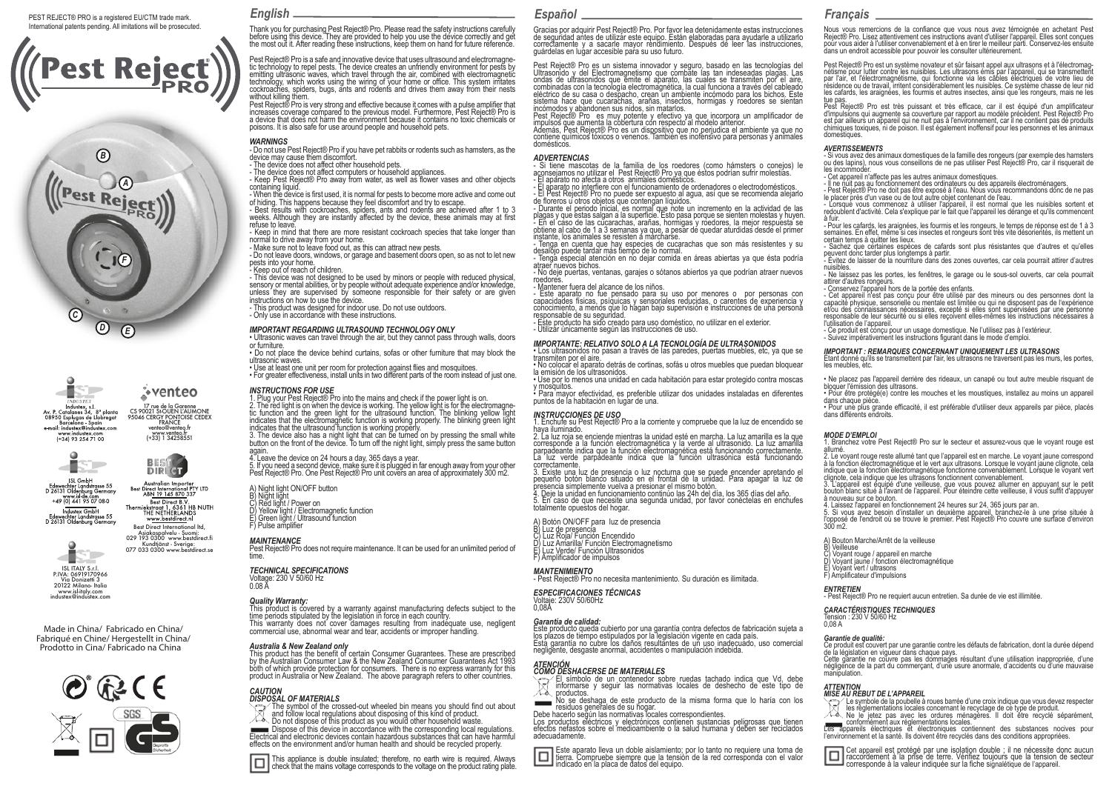### PEST REJECT® PRO is a registered EU/CTM trade mark. International patents pending. All imitations will be prosecuted.









ISL GmbH<br>Edewechter Landstrasse 55<br>D 26131 Oldenburg Germany Australian Importer<br>Best Direct International PTY LTD<br>ABN 19 145 870 337 20131 Cidenborg Cenna<br>www.istde.com<br>+49 (0) 441 95 07 08 0 **Best Direct B.V.**<br>Thermiekstraat 1, 6361 HB NUTH<br>THE NETHERLANDS<br>www.bestdirect.nl Industex GmbH Edewechter Landstrasse 55<br>D 26131 Oldenburg Germany



Best Direct International ltd,

**DIRLET** 

ISL ITALY S.r.l.<br>PIVA: 06919170966 **P.**<br>P.I. Donizetti 3 20122 Milano- Italia www.isl-italy.com industex@industex.com

Made in China/ Fabricado en China/ Fabriqué en Chine/ Hergestellt in China/ Prodotto in Cina/ Fabricado na China



*English Español Français*

Thank you for purchasing Pest Reject® Pro. Please read the safety instructions carefully before using this device. They are provided to help you use the device correctly and get the most out it. After reading these instructions, keep them on hand for future reference.

Pest Reject® Pro is a safe and innovative device that uses ultrasound and electromagne-<br>tic technology to repel pests. The device creates an unfriendly environment for pests by emitting ulträsonic waves, which travel through the air, combined with electromagnetic<br>technology, which works using the wiring of your home or office. This system irritates<br>cockroaches, spiders, bugs, ants and rodents and without killing them.

Pest Reject® Pro is very strong and effective because it comes with a pulse amplifier that increases coverage compared to the previous model. Furthermore, Pest Reject® Pro is a device that does not harm the environment because it contains no toxic chemicals or poisons. It is also safe for use around people and household pets.

# *WARNINGS*

- Do not use Pest Reject® Pro if you have pet rabbits or rodents such as hamsters, as the device may cause them discomfort.

- The device does not affect other household pets.

- The device does not affect computers or household appliances.

- Keep Pest Reject® Pro away from water, as well as flower vases and other objects containing liquid.

- When the device is first used, it is normal for pests to become more active and come out of hiding. This happens because they feel discomfort and try to escape.

- Best results with cockroaches, spiders, ants and rodents are achieved after 1 to 3 weeks. Although they are instantly affected by the device, these animals may at first refuse to leave.

- Keep in mind that there are more resistant cockroach species that take longer than normal to drive away from your home.

- Make sure not to leave food out, as this can attract new pests.

- Do not leave doors, windows, or garage and basement doors open, so as not to let new pests into your home.

- Keep out of reach of children.

- This device was not designed to be used by minors or people with reduced physical, sensory or mental abilities, or by people without adequate experience and/or knowledge, unless they are supervised by someone responsible for their safety or are given instructions on how to use the device.

- This product was designed for indoor use. Do not use outdoors.

- Only use in accordance with these instructions.

# *IMPORTANT REGARDING ULTRASOUND TECHNOLOGY ONLY*

• Ultrasonic waves can travel through the air, but they cannot pass through walls, doors or furniture.

• Do not place the device behind curtains, sofas or other furniture that may block the ultrasonic waves.

• Use at least one unit per room for protection against flies and mosquitoes. • For greater effectiveness, install units in two different parts of the room instead of just one.

# *INSTRUCTIONS FOR USE*

1. Plug your Pest Reject® Pro into the mains and check if the power light is on. 2. The red light is on when the device is working. The yellow light is for the electromagne-<br>tic function and the green light for the ultrasound function. The blinking yellow light indicates that the electromagnetic function is working properly. The blinking green light indicates that the ultrasound function is working properly. 3. The device also has a night light that can be turned on by pressing the small white

button on the front of the device. To turn off the night light, simply press the same button again. 4. Leave the device on 24 hours a day, 365 days a year.

5. If you need a second device, make sure it is plugged in far enough away from your other Pest Reject® Pro. One Pest Reject® Pro unit covers an area of approximately 300 m2.

A) Night light ON/OFF button

B) Night light

C) Red light / Power on<br>D) Yellow light / Flectron Yellow light / Electromagnetic function

E) Green light / Ultrasound function F) Pulse amplifier

*MAINTENANCE* Pest Reject® Pro does not require maintenance. It can be used for an unlimited period of time.

#### *TECHNICAL SPECIFICATIONS*

Voltage: 230 V 50/60 Hz 0.08 A

# *Quality Warranty:*

This product is covered by a warranty against manufacturing defects subject to the time periods stipulated by the legislation in force in each country. This warranty does not cover damages resulting from inadequate use, negligent commercial use, abnormal wear and tear, accidents or improper handling.

#### *Australia & New Zealand only*

This product has the benefit of certain Consumer Guarantees. These are prescribed by the Australian Consumer Law & the New Zealand Consumer Guarantees Act 1993 both of which provide protection for consumers. There is no express warranty for this product in Australia or New Zealand. The above paragraph refers to other countries.



The symbol of the crossed-out wheeled bin means you should find out about and follow local regulations about disposing of this kind of product.

XX. Do not dispose of this product as you would other household waste. Dispose of this device in accordance with the corresponding local regulations. Electrical and electronic devices contain hazardous substances that can have harmful effects on the environment and/or human health and should be recycled properly.

This appliance is double insulated; therefore, no earth wire is required. Always check that the mains voltage corresponds to the voltage on the product rating plate.

Gracias por adquirir Pest Reject® Pro. Por favor lea detenidamente estas instrucciones de seguridad antes de utilizar este equipo. Están elaboradas para ayudarle a utilizarlo correctamente y a sacarle mayor rendimiento. Después de leer las instrucciones, guárdelas en lugar accesible para su uso futuro.

Pest Reject® Pro es un sistema innovador y seguro, basado en las tecnologías del Ultrasonido y del Electromagnetismo que combate las tan indeseadas plagas. Las ondas de ultrasonidos que emite el aparato, las cuales se transmiten por el aire,<br>combinadas con la tecnología electromagnética, la cual funciona a través del cableado eléctrico de su casa o despacho, crean un ambiente incómodo para los bichos. Este sistema hace que cucarachas, arañas, insectos, hormigas y roedores se sientan

incómodos y abandonen sus nidos, sin matarlos. Pest Reject® Pro es muy potente y efectivo ya que incorpora un amplificador de impulsos que aumenta la cobertura con respecto al modelo anterior.

Además, Pest Reject® Pro es un dispositivo que no perjudica el ambiente ya que no contiene químicos tóxicos o venenos. También es inofensivo para personas y animales domésticos.

#### *ADVERTENCIAS*

- Si tiene mascotas de la familia de los roedores (como hámsters o conejos) le aconsejamos no utilizar el Pest Reject® Pro ya que éstos podrían sufrir molestias. - El aparato no afecta a otros animales domésticos.

- El aparato no interfiere con el funcionamiento de ordenadores o electrodomésticos. - El Pest Reject® Pro no puede ser expuesto al agua, así que se recomienda alejarlo de floreros u otros objetos que contengan líquidos.

- Durante el periodo inicial, es normal que note un incremento en la actividad de las plagas y que estas salgan a la superficie. Esto pasa porque se sienten molestas y huyen. - En el caso de las cucarachas, arañas, hormigas y roedores, la mejor respuesta se obtiene al cabo de 1 a 3 semanas ya que, a pesar de quedar aturdidas desde el primer instante, los animales se resisten a marcharse.

- Tenga en cuenta que hay especies de cucarachas que son más resistentes y su desalojo puede tardar más tiempo de lo normal.

- Tenga especial atención en no dejar comida en áreas abiertas ya que ésta podría atraer nuevos bichos.

- No deje puertas, ventanas, garajes o sótanos abiertos ya que podrían atraer nuevos roedores.

- Mantener fuera del alcance de los niños.<br>- Este aparato no fue pensado para su uso por menores o por personas con<br>capacidades físicas, psíquicas y sensoriales reducidas, o carentes de experiencia y conocimiento, a menos que lo hagan bajo supervisión e instrucciones de una persona

responsable de su seguridad. - Este producto ha sido creado para uso doméstico, no utilizar en el exterior. - Utilizar únicamente según las instrucciones de uso.

#### *IMPORTANTE: RELATIVO SOLO A LA TECNOLOGÍA DE ULTRASONIDOS*

• Los ultrasonidos no pasan a través de las paredes, puertas muebles, etc, ya que se transmiten por el aire.

u ansimien por er alie.<br>• No colocar el aparato detrás de cortinas, sofás u otros muebles que puedan bloquear la emisión de los ultrasonidos. • Use por lo menos una unidad en cada habitación para estar protegido contra moscas

y mosquitos. • Para mayor efectividad, es preferible utilizar dos unidades instaladas en diferentes

puntos de la habitación en lugar de una.

## *INSTRUCCIONES DE USO*

1. Enchufe su Pest Reject® Pro a la corriente y compruebe que la luz de encendido se haya iluminado.

2. La luz roja se enciende mientras la unidad esté en marcha. La luz amarilla es la que corresponde a la función electromagnética y la verde al ultrasonido. La luz amarilla parpadeante indica que la función electromagnética está funcionando correctamente. La luz verde parpadeante indica que la función ultrasónica está funcionando correctamente.

3. Existe una luz de presencia o luz nocturna que se puede encender apretando el pequeño botón blanco situado en el frontal de la unidad. Para apagar la luz de presencia simplemente vuelva a presionar el mismo botón.

4. Deje la unidad en funcionamiento continúo las 24h del día, los 365 días del año. 5. En caso de que necesite una segunda unidad, por favor conéctelas en enchufes totalmente opuestos del hogar.

A) Botón ON/OFF para luz de presencia

B) Luz de presencia C) Luz Roja/ Función Encendido D) Luz Amarilla/ Función Electromagnetismo E) Luz Verde/ Función Ultrasonidos F) Amplificador de impulsos

### *MANTENIMIENTO*

- Pest Reject® Pro no necesita mantenimiento. Su duración es ilimitada.

*ESPECIFICACIONES TÉCNICAS* Voltaje: 230V 50/60Hz 0,08A

#### *Garantía de calidad:*

Este producto queda cubierto por una garantía contra defectos de fabricación sujeta a los plazos de tiempo estipulados por la legislación vigente en cada país.<br>Esta garantía no cubre los daños resultantes de un uso inadecuado, uso comercial<br>negligente, desgaste anormal, accidentes o manipulación indebida.

#### *ATENCIÓN COMO DESHACERSE DE MATERIALES*

El símbolo de un contenedor sobre ruedas tachado indica que Vd. debe informarse y seguir las normativas locales de deshecho de este tipo de べる

noductos.<br>
No se deshaga de este producto de la misma forma que lo haría con los<br>
nesiduos generales de su hogar.<br>
Debe hacerlo según las normativas locales correspondientes.<br>
Los productos eléctricos y electrónicos contie adecuadamente.

Este aparato lleva un doble aislamiento; por lo tanto no requiere una toma de tierra. Compruebe siempre que la tensión de la red corresponda con el valor 0 indicado en la placa de datos del equipo.

Nous vous remercions de la confiance que vous nous avez témoignée en achetant Pest Reject® Pro. Lisez attentivement ces instructions avant d'utiliser l'appareil. Elles sont conçues pour vous aider à l'utiliser convenablement et à en tirer le meilleur parti. Conservez-les ensuite dans un endroit accessible pour pouvoir les consulter ultérieurement.

Pest Reject® Pro est un système novateur et sûr faisant appel aux ultrasons et à l'électromag- nétisme pour lutter contre les nuisibles. Les ultrasons émis par l'appareil, qui se transmettent par l'air, et l'électromagnétisme, qui fonctionne via les câbles électriques de votre lieu de résidence ou de travail, irritent considérablement les nuisibles. Ce système chasse de leur nid les cafards, les araignées, les fourmis et autres insectes, ainsi que les rongeurs, mais ne les tue pas

Pest Reject® Pro est très puissant et très efficace, car il est équipé d'un amplificateur d'impulsions qui augmente sa couverture par rapport au modèle précédent. Pest Reject® Pro est par ailleurs un appareil qui ne nuit pas à l'environnement, car il ne contient pas de produits chimiques toxiques, ni de poison. Il est également inoffensif pour les personnes et les animaux domestiques.

#### *AVERTISSEMENTS*

certain temps à quitter les lieux.

attirer d'autres rongeurs.

l'utilisation de l'appareil.

bloquer l'émission des ultrasons.

les meubles, etc.

dans chaque pièce.

allumé.

300 m2.

B) Veilleuse

*ENTRETIEN*

manipulation.

0,08 A *Garantie de qualité:*

dans différents endroits. *MODE D'EMPLOI*

à nouveau sur ce bouton.

E) Voyant vert / ultrasons F) Amplificateur d'impulsions

A) Bouton Marche/Arrêt de la veilleuse

C) Voyant rouge / appareil en marche D) Voyant jaune / fonction électromagnétique

*CARACTÉRISTIQUES TECHNIQUES* Tension : 230 V 50/60 Hz

*ATTENTION*

de la législation en vigueur dans chaque pays.

nuisibles.

- Si vous avez des animaux domestiques de la famille des rongeurs (par exemple des hamsters ou des lapins), nous vous conseillons de ne pas utiliser Pest Reject® Pro, car il risquerait de les incommoder.

- Cet annareil n'affecte nas les autres animaux domestiques.

- Conservez l'appareil hors de la portée des enfants.

- Il ne nuit pas au fonctionnement des ordinateurs ou des appareils électroménagers.

- Pest Reject® Pro ne doit pas être exposé à l'eau. Nous vous recommandons donc de ne pas le placer près d'un vase ou de tout autre objet contenant de l'eau. - Lorsque vous commencez à utiliser l'appareil, il est normal que les nuisibles sortent et

redoublent d'activité. Cela s'explique par le fait que l'appareil les dérange et qu'ils commencent à fuir. - Pour les cafards, les araignées, les fourmis et les rongeurs, le temps de réponse est de 1 à 3 semaines. En effet, même si ces insectes et rongeurs sont très vite désorientés, ils mettent un

certain temps a quitter les insus.<br>- Sachez que certaines espèces de cafards sont plus résistantes que d'autres et qu'elles<br>peuvent donc tarder plus longtemps à partir. peuvent donc tarder plus longtemps à partir. - Évitez de laisser de la nourriture dans des zones ouvertes, car cela pourrait attirer d'autres

- Ne laissez pas les portes, les fenêtres, le garage ou le sous-sol ouverts, car cela pourrait

- Cet appareil n'est pas conçu pour être utilisé par des mineurs ou des personnes dont la capacité physique, sensorielle ou mentale est limitée ou qui ne disposent pas de l'expérience et/ou des connaissances nécessaires, excepté si elles sont supervisées par une personne responsable de leur sécurité ou si elles reçoivent elles-mêmes les instructions nécessaires à

*IMPORTANT : REMARQUES CONCERNANT UNIQUEMENT LES ULTRASONS*<br>Étant donné qu'ils se transmettent par l'air, les ultrasons ne traversent pas les murs, les portes,

• Ne placez pas l'appareil derrière des rideaux, un canapé ou tout autre meuble risquant de

• Pour être protégé(e) contre les mouches et les moustiques, installez au moins un appareil

• Pour une plus grande efficacité, il est préférable d'utiliser deux appareils par pièce, placés

1. Branchez votre Pest Reject® Pro sur le secteur et assurez-vous que le voyant rouge est

2. Le voyant rouge reste allumé tant que l'appareil est en marche. Le voyant jaune correspond à la fonction électromagnétique et le vert aux ultrasons. Lorsque le voyant jaune clignote, cela indique que la fonction électromagnétique fonctionne convenablement. Lorsque le voyant vert

3. L'appareil est équipé d'une veilleuse, que vous pouvez allumer en appuyant sur le petit bouton blanc situé à l'avant de l'appareil. Pour éteindre cette veilleuse, il vous suffit d'appuyer

5. Si vous avez besoin d'installer un deuxième appareil, branchez-le à une prise située à l'opposé de l'endroit où se trouve le premier. Pest Reject® Pro couvre une surface d'environ

Ce produit est couvert par une garantie contre les défauts de fabrication, dont la durée dépend

Cette garantie ne couvre pas les dommages résultant d'une utilisation inappropriée, d'une négligence de la part du commerçant, d'une usure anormale, d'accidents ou d'une mauvaise

*MISE AU REBUT DE L'APPAREIL* Le symbole de la poubelle à roues barrée d'une croix indique que vous devez respecter les réglementations locales concernant le recyclage de ce type de produit. Ne le jeter pas avec les ordures ménagères. Il doit être recyclé séparément<br>
en le jetez pas avec les ordures ménagères. Il doit être recyclé séparément Les appareils électriques et électroniques contiennent des substances nocives pour l'environnement et la santé. Ils doivent être recyclés dans des conditions appropriées. Cet appareil est protégé par une isolation double ; il ne nécessite donc aucun raccordement à la prise de terre. Vérifiez toujours que la tension de secteur corresponde à la valeur indiquée sur la fiche signalétique de l'appareil.

clignote, cela indique que les ultrasons fonctionnent convenablement.

4. Laissez l'appareil en fonctionnement 24 heures sur 24, 365 jours par an.

- Pest Reject® Pro ne requiert aucun entretien. Sa durée de vie est illimitée.

- Ce produit est conçu pour un usage domestique. Ne l'utilisez pas à l'extérieur. - Suivez impérativement les instructions figurant dans le mode d'emploi.